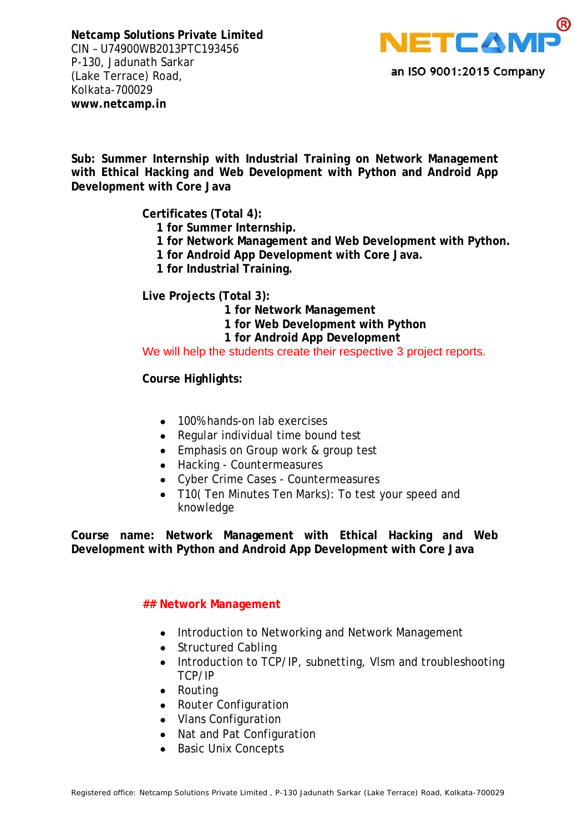

**Sub: Summer Internship with Industrial Training on Network Management with Ethical Hacking and Web Development with Python and Android App Development with Core Java** 

**Certificates (Total 4):** 

- **1 for Summer Internship.**
- **1 for Network Management and Web Development with Python.**
- **1 for Android App Development with Core Java.**
- **1 for Industrial Training.**

#### **Live Projects (Total 3):**

- **1 for Network Management**
- **1 for Web Development with Python**
- **1 for Android App Development**

We will help the students create their respective 3 project reports.

#### **Course Highlights:**

- 100% hands-on lab exercises
- Regular individual time bound test
- Emphasis on Group work & group test
- Hacking Countermeasures
- Cyber Crime Cases Countermeasures
- T10( Ten Minutes Ten Marks): To test your speed and knowledge

**Course name: Network Management with Ethical Hacking and Web Development with Python and Android App Development with Core Java** 

#### **## Network Management**

- Introduction to Networking and Network Management
- Structured Cabling
- Introduction to TCP/IP, subnetting, VIsm and troubleshooting TCP/IP
- Routing
- Router Configuration
- Vlans Configuration
- Nat and Pat Configuration
- Basic Unix Concepts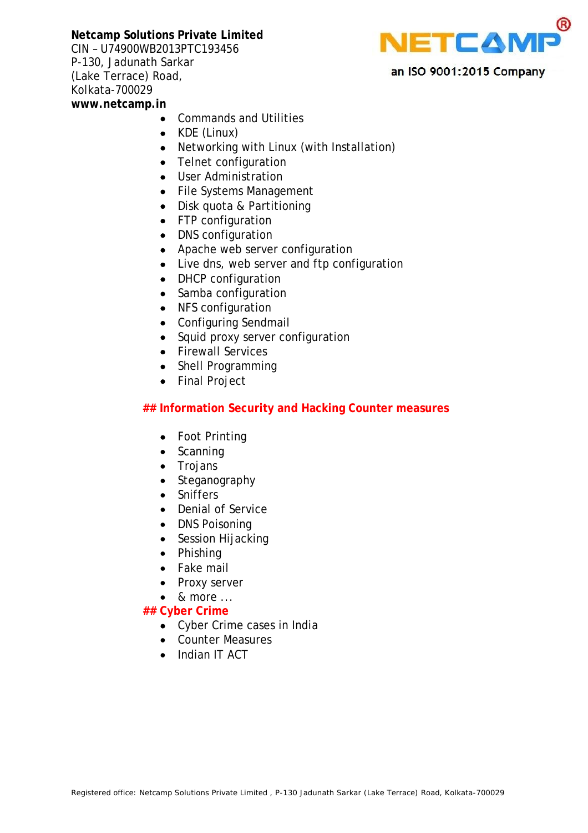CIN – U74900WB2013PTC193456 P-130, Jadunath Sarkar (Lake Terrace) Road, Kolkata-700029 **www.netcamp.in**



- Commands and Utilities
- KDE (Linux)
- Networking with Linux (with Installation)
- Telnet configuration
- User Administration
- File Systems Management
- Disk quota & Partitioning
- FTP configuration
- DNS configuration
- Apache web server configuration
- Live dns, web server and ftp configuration
- DHCP configuration
- Samba configuration
- NFS configuration
- Configuring Sendmail
- Squid proxy server configuration
- Firewall Services
- Shell Programming
- Final Project

### **## Information Security and Hacking Counter measures**

- Foot Printing
- Scanning
- Trojans
- Steganography
- Sniffers
- Denial of Service
- DNS Poisoning
- Session Hijacking
- Phishing
- Fake mail
- Proxy server
- $\bullet$  & more ...

### **## Cyber Crime**

- Cyber Crime cases in India
- Counter Measures
- Indian IT ACT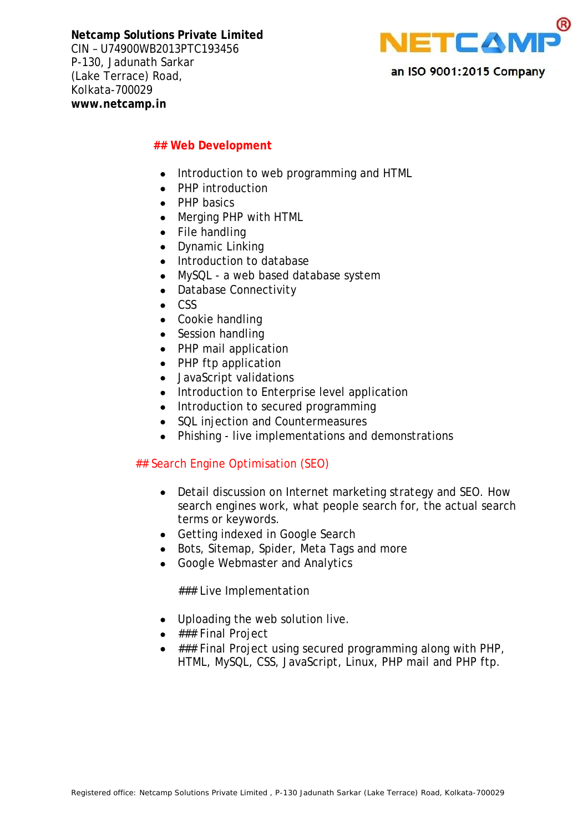**Netcamp Solutions Private Limited** CIN – U74900WB2013PTC193456 P-130, Jadunath Sarkar (Lake Terrace) Road, Kolkata-700029 **www.netcamp.in**



### **## Web Development**

- Introduction to web programming and HTML
- PHP introduction
- PHP basics
- Merging PHP with HTML
- File handling
- Dynamic Linking
- Introduction to database
- MySQL a web based database system
- Database Connectivity
- CSS
- Cookie handling
- Session handling
- PHP mail application
- PHP ftp application
- JavaScript validations
- Introduction to Enterprise level application
- Introduction to secured programming
- SQL injection and Countermeasures
- Phishing live implementations and demonstrations

### ## Search Engine Optimisation (SEO)

- Detail discussion on Internet marketing strategy and SEO. How search engines work, what people search for, the actual search terms or keywords.
- Getting indexed in Google Search
- Bots, Sitemap, Spider, Meta Tags and more
- Google Webmaster and Analytics

### Live Implementation

- Uploading the web solution live.
- $\bullet$  ### Final Project
- $\bullet$  ### Final Project using secured programming along with PHP, HTML, MySQL, CSS, JavaScript, Linux, PHP mail and PHP ftp.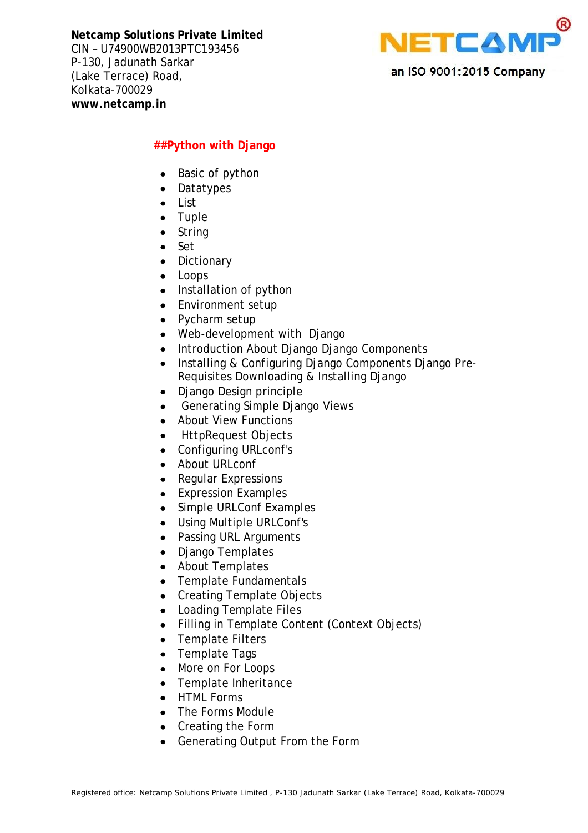**Netcamp Solutions Private Limited** CIN – U74900WB2013PTC193456 P-130, Jadunath Sarkar (Lake Terrace) Road, Kolkata-700029 **www.netcamp.in**



# **##Python with Django**

- Basic of python
- Datatypes
- $\bullet$  list
- Tuple
- String
- Set
- Dictionary
- Loops
- Installation of python
- **•** Environment setup
- Pycharm setup
- Web-development with Django
- Introduction About Django Django Components
- Installing & Configuring Diango Components Diango Pre-Requisites Downloading & Installing Django
- Django Design principle
- Generating Simple Diango Views
- About View Functions
- HttpRequest Objects
- Configuring URLconf's
- About URLconf
- Regular Expressions
- Expression Examples
- Simple URLConf Examples
- Using Multiple URLConf's
- Passing URL Arguments
- Django Templates
- About Templates
- Template Fundamentals
- Creating Template Objects
- Loading Template Files
- Filling in Template Content (Context Objects)
- Template Filters
- Template Tags
- More on For Loops
- Template Inheritance
- HTML Forms
- The Forms Module
- Creating the Form
- Generating Output From the Form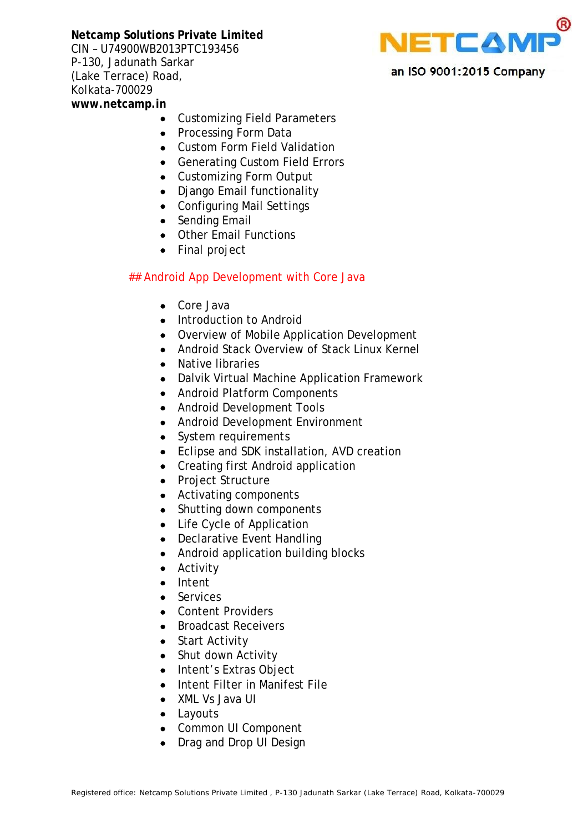CIN – U74900WB2013PTC193456 P-130, Jadunath Sarkar (Lake Terrace) Road, Kolkata-700029 **www.netcamp.in**



- Customizing Field Parameters
- Processing Form Data
- Custom Form Field Validation
- Generating Custom Field Errors
- Customizing Form Output
- Django Email functionality
- Configuring Mail Settings
- Sending Email
- Other Email Functions
- Final project

### ## Android App Development with Core Java

- Core Java
- Introduction to Android
- Overview of Mobile Application Development
- Android Stack Overview of Stack Linux Kernel
- Native libraries
- Dalvik Virtual Machine Application Framework
- Android Platform Components
- Android Development Tools
- Android Development Environment
- System requirements
- Eclipse and SDK installation, AVD creation
- Creating first Android application
- Project Structure
- Activating components
- Shutting down components
- Life Cycle of Application
- Declarative Event Handling
- Android application building blocks
- Activity
- Intent
- Services
- Content Providers
- Broadcast Receivers
- Start Activity
- Shut down Activity
- Intent's Extras Object
- Intent Filter in Manifest File
- XML Vs Java UI
- Layouts
- Common UI Component
- Drag and Drop UI Design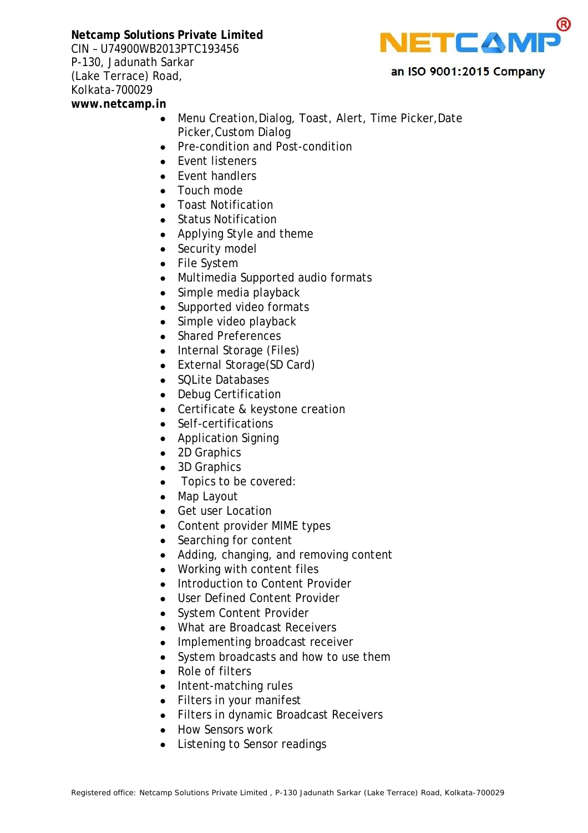CIN – U74900WB2013PTC193456 P-130, Jadunath Sarkar (Lake Terrace) Road, Kolkata-700029 **www.netcamp.in**



- Menu Creation,Dialog, Toast, Alert, Time Picker,Date Picker,Custom Dialog
- Pre-condition and Post-condition
- Event listeners
- Fvent handlers
- Touch mode
- Toast Notification
- Status Notification
- Applying Style and theme
- Security model
- File System
- Multimedia Supported audio formats
- Simple media playback
- Supported video formats
- Simple video playback
- Shared Preferences
- Internal Storage (Files)
- External Storage(SD Card)
- SQLite Databases
- Debug Certification
- Certificate & keystone creation
- Self-certifications
- Application Signing
- 2D Graphics
- 3D Graphics
- Topics to be covered:
- Map Layout
- Get user Location
- Content provider MIME types
- Searching for content
- Adding, changing, and removing content
- Working with content files
- Introduction to Content Provider
- User Defined Content Provider
- System Content Provider
- What are Broadcast Receivers
- Implementing broadcast receiver
- System broadcasts and how to use them
- Role of filters
- Intent-matching rules
- Filters in your manifest
- **•** Filters in dynamic Broadcast Receivers
- How Sensors work
- Listening to Sensor readings